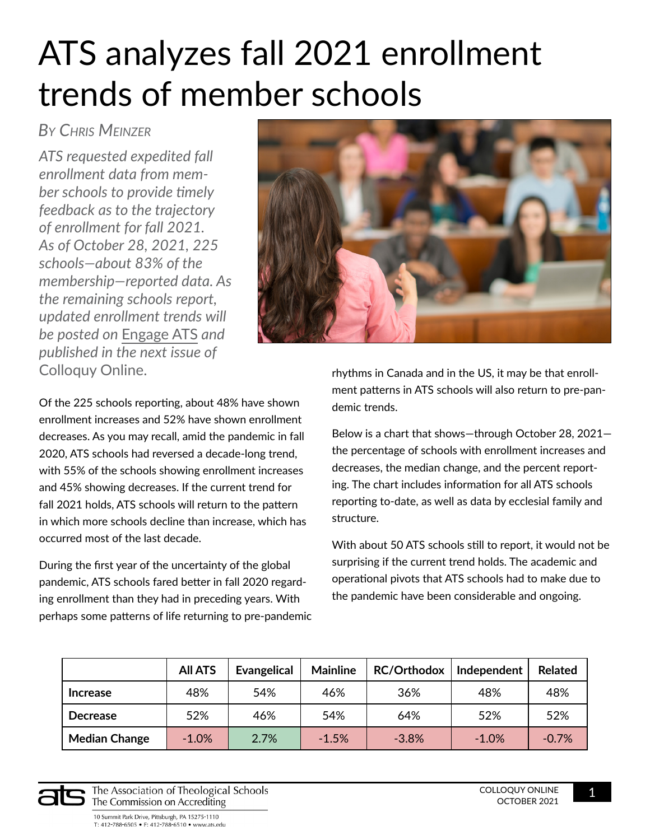## ATS analyzes fall 2021 enrollment trends of member schools

## *By Chris Meinzer*

*ATS requested expedited fall enrollment data from member schools to provide timely feedback as to the trajectory of enrollment for fall 2021. As of October 28, 2021, 225 schools—about 83% of the membership—reported data. As the remaining schools report, updated enrollment trends will be posted on* [Engage ATS](https://engage.ats.edu/home) *and published in the next issue of*  Colloquy Online.



Of the 225 schools reporting, about 48% have shown enrollment increases and 52% have shown enrollment decreases. As you may recall, amid the pandemic in fall 2020, ATS schools had reversed a decade-long trend, with 55% of the schools showing enrollment increases and 45% showing decreases. If the current trend for fall 2021 holds, ATS schools will return to the pattern in which more schools decline than increase, which has occurred most of the last decade.

During the first year of the uncertainty of the global pandemic, ATS schools fared better in fall 2020 regarding enrollment than they had in preceding years. With perhaps some patterns of life returning to pre-pandemic rhythms in Canada and in the US, it may be that enrollment patterns in ATS schools will also return to pre-pandemic trends.

Below is a chart that shows—through October 28, 2021 the percentage of schools with enrollment increases and decreases, the median change, and the percent reporting. The chart includes information for all ATS schools reporting to-date, as well as data by ecclesial family and structure.

With about 50 ATS schools still to report, it would not be surprising if the current trend holds. The academic and operational pivots that ATS schools had to make due to the pandemic have been considerable and ongoing.

|                      | <b>All ATS</b> | <b>Evangelical</b> | <b>Mainline</b> | <b>RC/Orthodox</b> | Independent | <b>Related</b> |
|----------------------|----------------|--------------------|-----------------|--------------------|-------------|----------------|
| <b>Increase</b>      | 48%            | 54%                | 46%             | 36%                | 48%         | 48%            |
| <b>Decrease</b>      | 52%            | 46%                | 54%             | 64%                | 52%         | 52%            |
| <b>Median Change</b> | $-1.0\%$       | 2.7%               | $-1.5%$         | $-3.8%$            | $-1.0%$     | $-0.7%$        |



The Association of Theological Schools The Commission on Accrediting

10 Summit Park Drive, Pittsburgh, PA 15275-1110 T: 412-788-6505 • F: 412-788-6510 • www.ats.edu